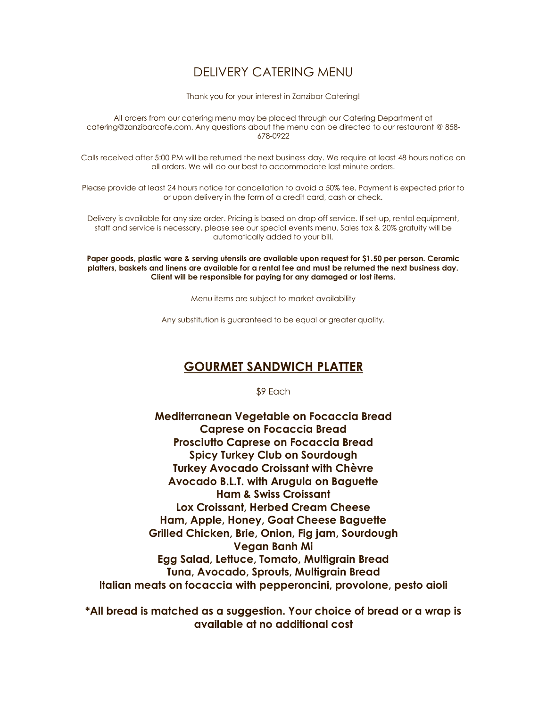## DELIVERY CATERING MENU

Thank you for your interest in Zanzibar Catering!

All orders from our catering menu may be placed through our Catering Department at catering@zanzibarcafe.com. Any questions about the menu can be directed to our restaurant @ 858- 678-0922

Calls received after 5:00 PM will be returned the next business day. We require at least 48 hours notice on all orders. We will do our best to accommodate last minute orders.

Please provide at least 24 hours notice for cancellation to avoid a 50% fee. Payment is expected prior to or upon delivery in the form of a credit card, cash or check.

Delivery is available for any size order. Pricing is based on drop off service. If set-up, rental equipment, staff and service is necessary, please see our special events menu. Sales tax & 20% gratuity will be automatically added to your bill.

**Paper goods, plastic ware & serving utensils are available upon request for \$1.50 per person. Ceramic platters, baskets and linens are available for a rental fee and must be returned the next business day. Client will be responsible for paying for any damaged or lost items.**

Menu items are subject to market availability

Any substitution is guaranteed to be equal or greater quality.

## **GOURMET SANDWICH PLATTER**

\$9 Each

**Mediterranean Vegetable on Focaccia Bread Caprese on Focaccia Bread Prosciutto Caprese on Focaccia Bread Spicy Turkey Club on Sourdough Turkey Avocado Croissant with Chèvre Avocado B.L.T. with Arugula on Baguette Ham & Swiss Croissant Lox Croissant, Herbed Cream Cheese Ham, Apple, Honey, Goat Cheese Baguette Grilled Chicken, Brie, Onion, Fig jam, Sourdough Vegan Banh Mi Egg Salad, Lettuce, Tomato, Multigrain Bread Tuna, Avocado, Sprouts, Multigrain Bread Italian meats on focaccia with pepperoncini, provolone, pesto aioli**

**\*All bread is matched as a suggestion. Your choice of bread or a wrap is available at no additional cost**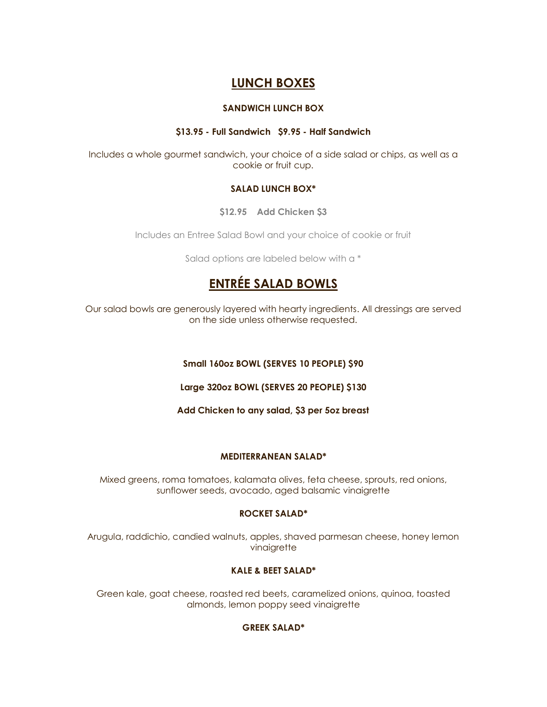## **LUNCH BOXES**

#### **SANDWICH LUNCH BOX**

#### **\$13.95 - Full Sandwich \$9.95 - Half Sandwich**

Includes a whole gourmet sandwich, your choice of a side salad or chips, as well as a cookie or fruit cup.

#### **SALAD LUNCH BOX\***

**\$12.95 Add Chicken \$3**

Includes an Entree Salad Bowl and your choice of cookie or fruit

Salad options are labeled below with a \*

# **ENTRÉE SALAD BOWLS**

Our salad bowls are generously layered with hearty ingredients. All dressings are served on the side unless otherwise requested.

#### **Small 160oz BOWL (SERVES 10 PEOPLE) \$90**

**Large 320oz BOWL (SERVES 20 PEOPLE) \$130**

**Add Chicken to any salad, \$3 per 5oz breast**

#### **MEDITERRANEAN SALAD\***

Mixed greens, roma tomatoes, kalamata olives, feta cheese, sprouts, red onions, sunflower seeds, avocado, aged balsamic vinaigrette

#### **ROCKET SALAD\***

Arugula, raddichio, candied walnuts, apples, shaved parmesan cheese, honey lemon vinaigrette

#### **KALE & BEET SALAD\***

Green kale, goat cheese, roasted red beets, caramelized onions, quinoa, toasted almonds, lemon poppy seed vinaigrette

#### **GREEK SALAD\***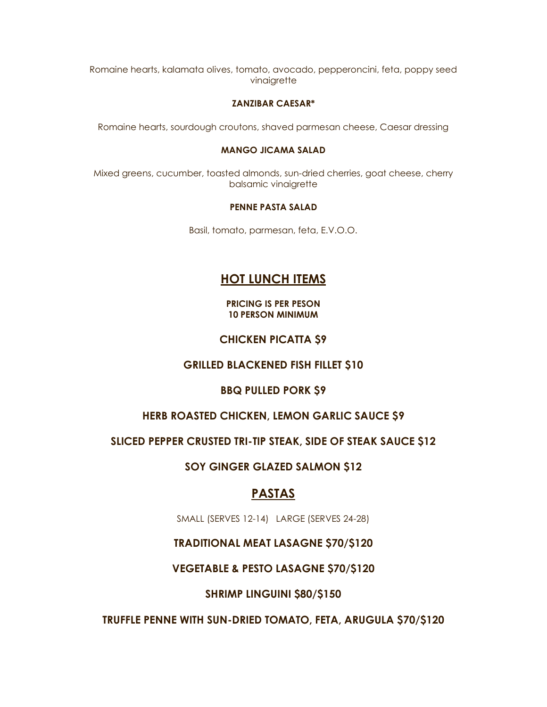Romaine hearts, kalamata olives, tomato, avocado, pepperoncini, feta, poppy seed vinaigrette

#### **ZANZIBAR CAESAR\***

Romaine hearts, sourdough croutons, shaved parmesan cheese, Caesar dressing

#### **MANGO JICAMA SALAD**

Mixed greens, cucumber, toasted almonds, sun-dried cherries, goat cheese, cherry balsamic vinaigrette

#### **PENNE PASTA SALAD**

Basil, tomato, parmesan, feta, E.V.O.O.

## **HOT LUNCH ITEMS**

**PRICING IS PER PESON 10 PERSON MINIMUM**

#### **CHICKEN PICATTA \$9**

#### **GRILLED BLACKENED FISH FILLET \$10**

#### **BBQ PULLED PORK \$9**

#### **HERB ROASTED CHICKEN, LEMON GARLIC SAUCE \$9**

#### **SLICED PEPPER CRUSTED TRI-TIP STEAK, SIDE OF STEAK SAUCE \$12**

#### **SOY GINGER GLAZED SALMON \$12**

### **PASTAS**

SMALL (SERVES 12-14) LARGE (SERVES 24-28)

#### **TRADITIONAL MEAT LASAGNE \$70/\$120**

#### **VEGETABLE & PESTO LASAGNE \$70/\$120**

#### **SHRIMP LINGUINI \$80/\$150**

**TRUFFLE PENNE WITH SUN-DRIED TOMATO, FETA, ARUGULA \$70/\$120**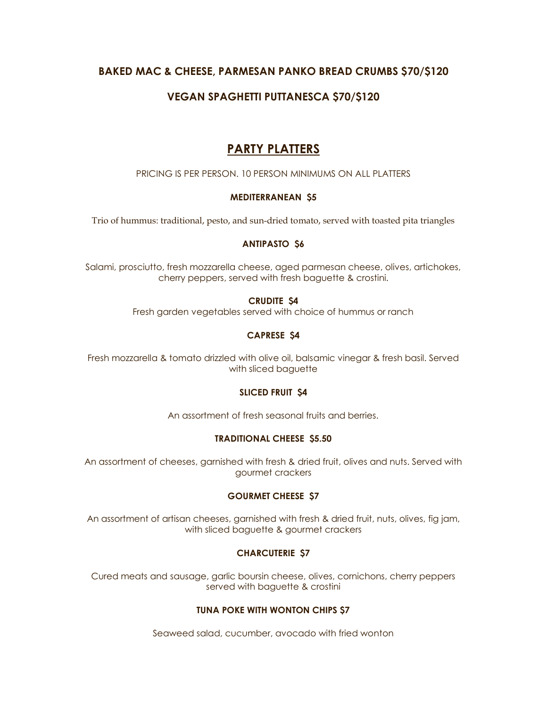### **BAKED MAC & CHEESE, PARMESAN PANKO BREAD CRUMBS \$70/\$120**

## **VEGAN SPAGHETTI PUTTANESCA \$70/\$120**

## **PARTY PLATTERS**

PRICING IS PER PERSON. 10 PERSON MINIMUMS ON ALL PLATTERS

#### **MEDITERRANEAN \$5**

Trio of hummus: traditional, pesto, and sun-dried tomato, served with toasted pita triangles

#### **ANTIPASTO \$6**

Salami, prosciutto, fresh mozzarella cheese, aged parmesan cheese, olives, artichokes, cherry peppers, served with fresh baguette & crostini.

#### **CRUDITE \$4**

Fresh garden vegetables served with choice of hummus or ranch

#### **CAPRESE \$4**

Fresh mozzarella & tomato drizzled with olive oil, balsamic vinegar & fresh basil. Served with sliced baguette

#### **SLICED FRUIT \$4**

An assortment of fresh seasonal fruits and berries.

#### **TRADITIONAL CHEESE \$5.50**

An assortment of cheeses, garnished with fresh & dried fruit, olives and nuts. Served with gourmet crackers

#### **GOURMET CHEESE \$7**

An assortment of artisan cheeses, garnished with fresh & dried fruit, nuts, olives, fig jam, with sliced baguette & gourmet crackers

#### **CHARCUTERIE \$7**

Cured meats and sausage, garlic boursin cheese, olives, cornichons, cherry peppers served with baguette & crostini

#### **TUNA POKE WITH WONTON CHIPS \$7**

Seaweed salad, cucumber, avocado with fried wonton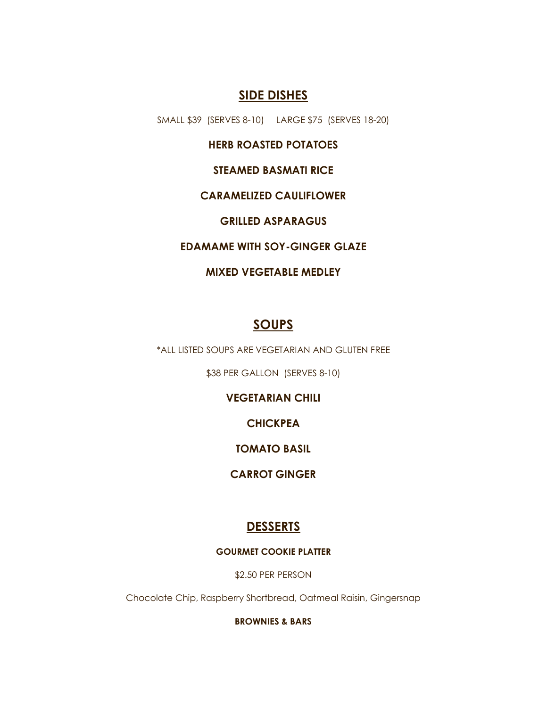## **SIDE DISHES**

SMALL \$39 (SERVES 8-10) LARGE \$75 (SERVES 18-20)

**HERB ROASTED POTATOES**

**STEAMED BASMATI RICE**

### **CARAMELIZED CAULIFLOWER**

**GRILLED ASPARAGUS**

**EDAMAME WITH SOY-GINGER GLAZE**

### **MIXED VEGETABLE MEDLEY**

## **SOUPS**

\*ALL LISTED SOUPS ARE VEGETARIAN AND GLUTEN FREE

\$38 PER GALLON (SERVES 8-10)

**VEGETARIAN CHILI**

**CHICKPEA**

**TOMATO BASIL**

**CARROT GINGER**

## **DESSERTS**

#### **GOURMET COOKIE PLATTER**

\$2.50 PER PERSON

Chocolate Chip, Raspberry Shortbread, Oatmeal Raisin, Gingersnap

**BROWNIES & BARS**